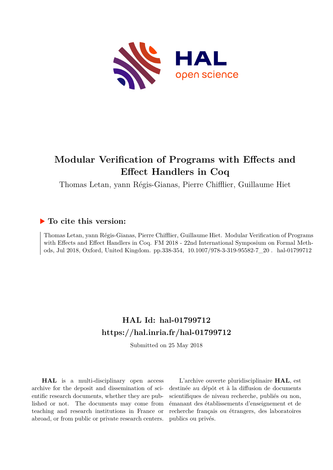

# **Modular Verification of Programs with Effects and Effect Handlers in Coq**

Thomas Letan, yann Régis-Gianas, Pierre Chifflier, Guillaume Hiet

## **To cite this version:**

Thomas Letan, yann Régis-Gianas, Pierre Chifflier, Guillaume Hiet. Modular Verification of Programs with Effects and Effect Handlers in Coq. FM 2018 - 22nd International Symposium on Formal Methods, Jul 2018, Oxford, United Kingdom. pp.338-354, 10.1007/978-3-319-95582-7\_20. hal-01799712

# **HAL Id: hal-01799712 <https://hal.inria.fr/hal-01799712>**

Submitted on 25 May 2018

**HAL** is a multi-disciplinary open access archive for the deposit and dissemination of scientific research documents, whether they are published or not. The documents may come from teaching and research institutions in France or abroad, or from public or private research centers.

L'archive ouverte pluridisciplinaire **HAL**, est destinée au dépôt et à la diffusion de documents scientifiques de niveau recherche, publiés ou non, émanant des établissements d'enseignement et de recherche français ou étrangers, des laboratoires publics ou privés.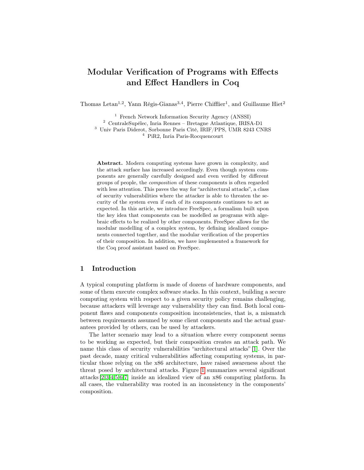## Modular Verification of Programs with Effects and Effect Handlers in Coq

Thomas Letan<sup>1,2</sup>, Yann Régis-Gianas<sup>3,4</sup>, Pierre Chifflier<sup>1</sup>, and Guillaume Hiet<sup>2</sup>

<sup>1</sup> French Network Information Security Agency (ANSSI)

<sup>2</sup> CentraleSupélec, Inria Rennes – Bretagne Atlantique, IRISA-D1

<sup>3</sup> Univ Paris Diderot, Sorbonne Paris Cité, IRIF/PPS, UMR 8243 CNRS

<sup>4</sup> PiR2, Inria Paris-Rocquencourt

Abstract. Modern computing systems have grown in complexity, and the attack surface has increased accordingly. Even though system components are generally carefully designed and even verified by different groups of people, the composition of these components is often regarded with less attention. This paves the way for "architectural attacks", a class of security vulnerabilities where the attacker is able to threaten the security of the system even if each of its components continues to act as expected. In this article, we introduce FreeSpec, a formalism built upon the key idea that components can be modelled as programs with algebraic effects to be realized by other components. FreeSpec allows for the modular modelling of a complex system, by defining idealized components connected together, and the modular verification of the properties of their composition. In addition, we have implemented a framework for the Coq proof assistant based on FreeSpec.

## 1 Introduction

A typical computing platform is made of dozens of hardware components, and some of them execute complex software stacks. In this context, building a secure computing system with respect to a given security policy remains challenging, because attackers will leverage any vulnerability they can find. Both local component flaws and components composition inconsistencies, that is, a mismatch between requirements assumed by some client components and the actual guarantees provided by others, can be used by attackers.

The latter scenario may lead to a situation where every component seems to be working as expected, but their composition creates an attack path. We name this class of security vulnerabilities "architectural attacks" [1]. Over the past decade, many critical vulnerabilities affecting computing systems, in particular those relying on the x86 architecture, have raised awareness about the threat posed by architectural attacks. Figure 1 summarizes several significant attacks [2,3,4,5,6,7] inside an idealized view of an x86 computing platform. In all cases, the vulnerability was rooted in an inconsistency in the components' composition.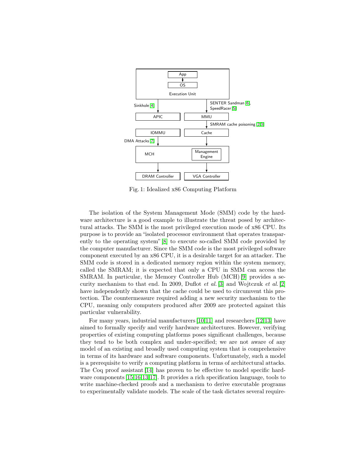

Fig. 1: Idealized x86 Computing Platform

The isolation of the System Management Mode (SMM) code by the hardware architecture is a good example to illustrate the threat posed by architectural attacks. The SMM is the most privileged execution mode of x86 CPU. Its purpose is to provide an "isolated processor environment that operates transparently to the operating system" [8] to execute so-called SMM code provided by the computer manufacturer. Since the SMM code is the most privileged software component executed by an x86 CPU, it is a desirable target for an attacker. The SMM code is stored in a dedicated memory region within the system memory, called the SMRAM; it is expected that only a CPU in SMM can access the SMRAM. In particular, the Memory Controller Hub (MCH) [9] provides a security mechanism to that end. In 2009, Duflot et al. [3] and Wojtczuk et al. [2] have independently shown that the cache could be used to circumvent this protection. The countermeasure required adding a new security mechanism to the CPU, meaning only computers produced after 2009 are protected against this particular vulnerability.

For many years, industrial manufacturers [10,11] and researchers [12,13] have aimed to formally specify and verify hardware architectures. However, verifying properties of existing computing platforms poses significant challenges, because they tend to be both complex and under-specified; we are not aware of any model of an existing and broadly used computing system that is comprehensive in terms of its hardware and software components. Unfortunately, such a model is a prerequisite to verify a computing platform in terms of architectural attacks. The Coq proof assistant [14] has proven to be effective to model specific hardware components [15,16,13,17]. It provides a rich specification language, tools to write machine-checked proofs and a mechanism to derive executable programs to experimentally validate models. The scale of the task dictates several require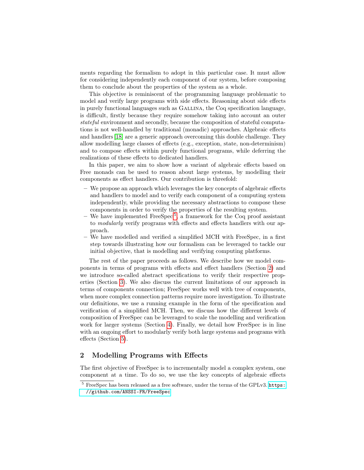ments regarding the formalism to adopt in this particular case. It must allow for considering independently each component of our system, before composing them to conclude about the properties of the system as a whole.

This objective is reminiscent of the programming language problematic to model and verify large programs with side effects. Reasoning about side effects in purely functional languages such as Gallina, the Coq specification language, is difficult, firstly because they require somehow taking into account an outer stateful environment and secondly, because the composition of stateful computations is not well-handled by traditional (monadic) approaches. Algebraic effects and handlers [18] are a generic approach overcoming this double challenge. They allow modelling large classes of effects (e.g., exception, state, non-determinism) and to compose effects within purely functional programs, while deferring the realizations of these effects to dedicated handlers.

In this paper, we aim to show how a variant of algebraic effects based on Free monads can be used to reason about large systems, by modelling their components as effect handlers. Our contribution is threefold:

- We propose an approach which leverages the key concepts of algebraic effects and handlers to model and to verify each component of a computing system independently, while providing the necessary abstractions to compose these components in order to verify the properties of the resulting system.
- We have implemented FreeSpec 5 , a framework for the Coq proof assistant to *modularly* verify programs with effects and effects handlers with our approach.
- We have modelled and verified a simplified MCH with FreeSpec, in a first step towards illustrating how our formalism can be leveraged to tackle our initial objective, that is modelling and verifying computing platforms.

The rest of the paper proceeds as follows. We describe how we model components in terms of programs with effects and effect handlers (Section 2) and we introduce so-called abstract specifications to verify their respective properties (Section 3). We also discuss the current limitations of our approach in terms of components connection; FreeSpec works well with tree of components, when more complex connection patterns require more investigation. To illustrate our definitions, we use a running example in the form of the specification and verification of a simplified MCH. Then, we discuss how the different levels of composition of FreeSpec can be leveraged to scale the modelling and verification work for larger systems (Section 4). Finally, we detail how FreeSpec is in line with an ongoing effort to modularly verify both large systems and programs with effects (Section 5).

## 2 Modelling Programs with Effects

The first objective of FreeSpec is to incrementally model a complex system, one component at a time. To do so, we use the key concepts of algebraic effects

<sup>5</sup> FreeSpec has been released as a free software, under the terms of the GPLv3. [https:](https://github.com/ANSSI-FR/FreeSpec) [//github.com/ANSSI-FR/FreeSpec](https://github.com/ANSSI-FR/FreeSpec)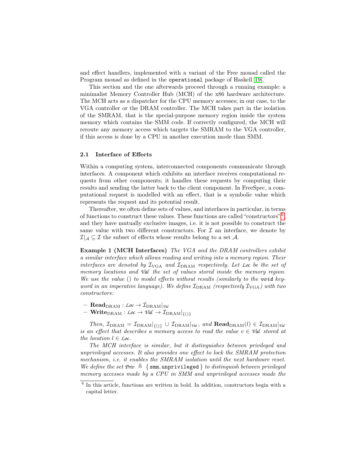and effect handlers, implemented with a variant of the Free monad called the Program monad as defined in the operational package of Haskell [19].

This section and the one afterwards proceed through a running example: a minimalist Memory Controller Hub (MCH) of the x86 hardware architecture. The MCH acts as a dispatcher for the CPU memory accesses; in our case, to the VGA controller or the DRAM controller. The MCH takes part in the isolation of the SMRAM, that is the special-purpose memory region inside the system memory which contains the SMM code. If correctly configured, the MCH will reroute any memory access which targets the SMRAM to the VGA controller, if this access is done by a CPU in another execution mode than SMM.

### 2.1 Interface of Effects

Within a computing system, interconnected components communicate through interfaces. A component which exhibits an interface receives computational requests from other components; it handles these requests by computing their results and sending the latter back to the client component. In FreeSpec, a computational request is modelled with an effect, that is a symbolic value which represents the request and its potential result.

Thereafter, we often define sets of values, and interfaces in particular, in terms of functions to construct these values. These functions are called "constructors" 6 , and they have mutually exclusive images, i.e. it is not possible to construct the same value with two different constructors. For  $\mathcal I$  an interface, we denote by  $\mathcal{I}|_{\mathcal{A}} \subseteq \mathcal{I}$  the subset of effects whose results belong to a set  $\mathcal{A}$ .

Example 1 (MCH Interfaces) The VGA and the DRAM controllers exhibit a similar interface which allows reading and writing into a memory region. Their interfaces are denoted by IVGA and IDRAM respectively. Let *Loc* be the set of memory locations and *Val* the set of values stored inside the memory region. We use the value () to model effects without results (similarly to the void keyword in an imperative language). We define  $\mathcal{I}_{\text{DRAM}}$  (respectively  $\mathcal{I}_{\text{VGA}}$ ) with two constructors:

- $-$ **Read**<sub>DRAM</sub> :  $\text{Loc} \rightarrow \text{I}_{\text{DRAM}}|_{\text{Val}}$
- $-$  Write<sub>DRAM</sub> :  $\mathcal{L}oc \rightarrow \mathcal{V}al \rightarrow \mathcal{I}_{\text{DRAM}}|_{\mathcal{U}(\lambda)}$

 $Then, \mathcal{I}_{\text{DRAM}} = \mathcal{I}_{\text{DRAM}}|_{\{(i)\}} \cup \mathcal{I}_{\text{DRAM}}|_{\nu_{\text{all}}}, \text{ and } \text{Read}_{\text{DRAM}}(l) \in \mathcal{I}_{\text{DRAM}}|_{\nu_{\text{all}}}$ is an effect that describes a memory access to read the value  $v \in V$  as stored at the location  $l \in \text{Loc}.$ 

The MCH interface is similar, but it distinguishes between privileged and unprivileged accesses. It also provides one effect to lock the SMRAM protection mechanism, i.e. it enables the SMRAM isolation until the next hardware reset. We define the set  $\text{Priv} \triangleq \{ \text{smm}, \text{unprivileged} \}$  to distinguish between privileged memory accesses made by a CPU in SMM and unprivileged accesses made the

<sup>&</sup>lt;sup>6</sup> In this article, functions are written in bold. In addition, constructors begin with a capital letter.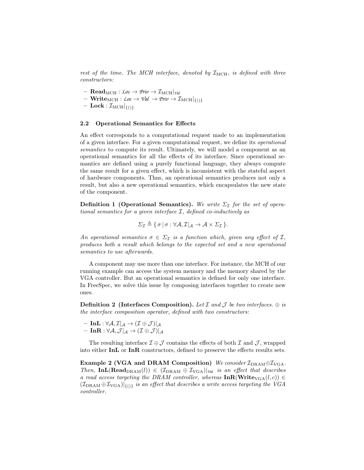rest of the time. The MCH interface, denoted by  $\mathcal{I}_{MCH}$ , is defined with three constructors:

- $-$ **Read**<sub>MCH</sub> : *Loc*  $\rightarrow$  *Priv*  $\rightarrow$  *L*<sub>MCH</sub> $|v_{dd}|$
- $-$  Write<sub>MCH</sub> : *Loc*  $\rightarrow$  *Val*  $\rightarrow$  *Priv*  $\rightarrow$  *I*<sub>MCH</sub> $|_{\{()\}}$
- $-$  Lock :  $\mathcal{I}_{\text{MCH}}|_{\{()\}}$

#### 2.2 Operational Semantics for Effects

An effect corresponds to a computational request made to an implementation of a given interface. For a given computational request, we define its operational semantics to compute its result. Ultimately, we will model a component as an operational semantics for all the effects of its interface. Since operational semantics are defined using a purely functional language, they always compute the same result for a given effect, which is inconsistent with the stateful aspect of hardware components. Thus, an operational semantics produces not only a result, but also a new operational semantics, which encapsulates the new state of the component.

**Definition 1 (Operational Semantics).** We write  $\Sigma_{\mathcal{I}}$  for the set of operational semantics for a given interface  $I$ , defined co-inductively as

$$
\Sigma_{\mathcal{I}} \triangleq \{ \sigma \, | \, \sigma : \forall \mathcal{A}, \mathcal{I}|_{\mathcal{A}} \to \mathcal{A} \times \Sigma_{\mathcal{I}} \}.
$$

An operational semantics  $\sigma \in \Sigma_{\mathcal{I}}$  is a function which, given any effect of  $\mathcal{I}$ , produces both a result which belongs to the expected set and a new operational semantics to use afterwards.

A component may use more than one interface. For instance, the MCH of our running example can access the system memory and the memory shared by the VGA controller. But an operational semantics is defined for only one interface. In FreeSpec, we solve this issue by composing interfaces together to create new ones.

**Definition 2** (Interfaces Composition). Let I and J be two interfaces.  $\oplus$  is the interface composition operator, defined with two constructors:

- $\text{ InL}: \forall A, \mathcal{I}|_{\mathcal{A}} \rightarrow (\mathcal{I} \oplus \mathcal{J})|_{\mathcal{A}}$
- $\text{InR}: \forall \mathcal{A}, \mathcal{J}|_{\mathcal{A}} \rightarrow (\mathcal{I} \oplus \mathcal{J})|_{\mathcal{A}}$

The resulting interface  $\mathcal{I} \oplus \mathcal{J}$  contains the effects of both  $\mathcal{I}$  and  $\mathcal{J}$ , wrapped into either InL or InR constructors, defined to preserve the effects results sets.

Example 2 (VGA and DRAM Composition) We consider  $\mathcal{I}_{\text{DRAM}} \oplus \mathcal{I}_{\text{VGA}}$ . Then,  $\text{InL}(Read_{\text{DRAM}}(l)) \in (\mathcal{I}_{\text{DRAM}} \oplus \mathcal{I}_{\text{VGA}})|_{\text{Val}}$  is an effect that describes a read access targeting the DRAM controller, whereas  $\text{InR}(\text{Write}_{\text{VGA}}(l, c)) \in$  $(\mathcal{I}_{\text{DRAM}} \oplus \mathcal{I}_{\text{VGA}})|_{\{(i)\}}$  is an effect that describes a write access targeting the VGA controller.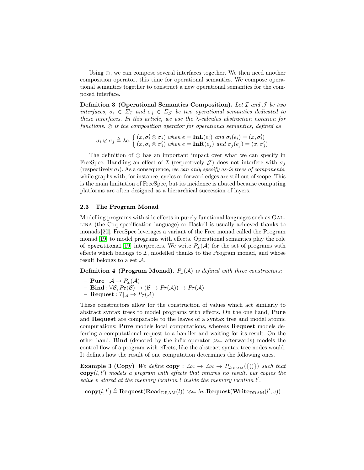Using  $\oplus$ , we can compose several interfaces together. We then need another composition operator, this time for operational semantics. We compose operational semantics together to construct a new operational semantics for the composed interface.

**Definition 3** (Operational Semantics Composition). Let  $\mathcal{I}$  and  $\mathcal{J}$  be two interfaces,  $\sigma_i \in \Sigma_{\mathcal{I}}$  and  $\sigma_j \in \Sigma_{\mathcal{I}}$  be two operational semantics dedicated to these interfaces. In this article, we use the  $\lambda$ -calculus abstraction notation for functions.  $\otimes$  is the composition operator for operational semantics, defined as

$$
\sigma_i \otimes \sigma_j \triangleq \lambda e. \begin{cases} (x, \sigma'_i \otimes \sigma_j) \text{ when } e = \textbf{InL}(e_i) \text{ and } \sigma_i(e_i) = (x, \sigma'_i) \\ (x, \sigma_i \otimes \sigma'_j) \text{ when } e = \textbf{InR}(e_j) \text{ and } \sigma_j(e_j) = (x, \sigma'_j) \end{cases}
$$

The definition of ⊗ has an important impact over what we can specify in FreeSpec. Handling an effect of I (respectively J) does not interfere with  $\sigma_i$ (respectively  $\sigma_i$ ). As a consequence, we can only specify as-is trees of components, while graphs with, for instance, cycles or forward edges are still out of scope. This is the main limitation of FreeSpec, but its incidence is abated because computing platforms are often designed as a hierarchical succession of layers.

### 2.3 The Program Monad

Modelling programs with side effects in purely functional languages such as Gallina (the Coq specification language) or Haskell is usually achieved thanks to monads [20]. FreeSpec leverages a variant of the Free monad called the Program monad [19] to model programs with effects. Operational semantics play the role of operational [19] interpreters. We write  $P_{\mathcal{I}}(\mathcal{A})$  for the set of programs with effects which belongs to  $I$ , modelled thanks to the Program monad, and whose result belongs to a set A.

**Definition 4 (Program Monad).**  $P_{\mathcal{I}}(\mathcal{A})$  is defined with three constructors:

- Pure :  $A \rightarrow P_{\mathcal{I}}(A)$
- $-$  Bind :  $\forall \mathcal{B}, P_{\mathcal{I}}(\mathcal{B}) \rightarrow (\mathcal{B} \rightarrow P_{\mathcal{I}}(\mathcal{A})) \rightarrow P_{\mathcal{I}}(\mathcal{A})$
- Request :  $\mathcal{I}|_{\mathcal{A}} \to P_{\mathcal{I}}(\mathcal{A})$

These constructors allow for the construction of values which act similarly to abstract syntax trees to model programs with effects. On the one hand, Pure and Request are comparable to the leaves of a syntax tree and model atomic computations; Pure models local computations, whereas Request models deferring a computational request to a handler and waiting for its result. On the other hand, **Bind** (denoted by the infix operator  $\gg$  afterwards) models the control flow of a program with effects, like the abstract syntax tree nodes would. It defines how the result of one computation determines the following ones.

**Example 3 (Copy)** We define copy :  $\text{Loc} \rightarrow \text{Loc} \rightarrow P_{\text{IDRAM}}(\{()\})$  such that  $\mathbf{copy}(l, l')$  models a program with effects that returns no result, but copies the value  $v$  stored at the memory location  $l$  inside the memory location  $l'$ .

 $\textbf{copy}(l,l') \triangleq \textbf{Request}(\textbf{Read}_{\text{DRAM}}(l)) \ggg \lambda v.\textbf{Request}(\textbf{Write}_{\text{DRAM}}(l',v))$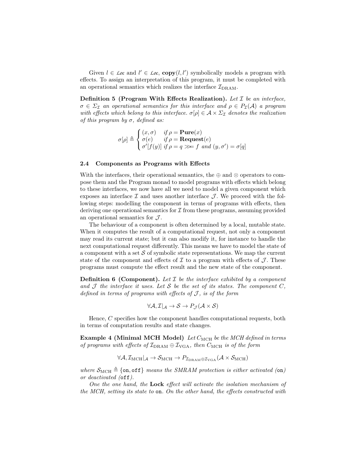Given  $l \in \text{Loc}$  and  $l' \in \text{Loc}$ ,  $\text{copy}(l, l')$  symbolically models a program with effects. To assign an interpretation of this program, it must be completed with an operational semantics which realizes the interface  $\mathcal{I}_{\text{DRAM}}$ .

Definition 5 (Program With Effects Realization). Let  $\mathcal I$  be an interface,  $\sigma \in \Sigma_{\mathcal{I}}$  an operational semantics for this interface and  $\rho \in P_{\mathcal{I}}(\mathcal{A})$  a program with effects which belong to this interface.  $\sigma[\rho] \in \mathcal{A} \times \Sigma_{\mathcal{I}}$  denotes the realization of this program by  $\sigma$ , defined as:

$$
\sigma[\rho] \triangleq \begin{cases} (x,\sigma) & \text{if } \rho = \mathbf{Pure}(x) \\ \sigma(e) & \text{if } \rho = \mathbf{Request}(e) \\ \sigma'[f(y)] & \text{if } \rho = q \gg\!\!\!\!> f \text{ and } (y,\sigma') = \sigma[q] \end{cases}
$$

#### 2.4 Components as Programs with Effects

With the interfaces, their operational semantics, the  $\oplus$  and  $\otimes$  operators to compose them and the Program monad to model programs with effects which belong to these interfaces, we now have all we need to model a given component which exposes an interface  $\mathcal I$  and uses another interface  $\mathcal J$ . We proceed with the following steps: modelling the component in terms of programs with effects, then deriving one operational semantics for  $\mathcal I$  from these programs, assuming provided an operational semantics for  $\mathcal{J}$ .

The behaviour of a component is often determined by a local, mutable state. When it computes the result of a computational request, not only a component may read its current state; but it can also modify it, for instance to handle the next computational request differently. This means we have to model the state of a component with a set  $S$  of symbolic state representations. We map the current state of the component and effects of  $\mathcal I$  to a program with effects of  $\mathcal J$ . These programs must compute the effect result and the new state of the component.

**Definition 6 (Component).** Let  $I$  be the interface exhibited by a component and  $\mathcal J$  the interface it uses. Let  $\mathcal S$  be the set of its states. The component  $C$ , defined in terms of programs with effects of  $J$ , is of the form

$$
\forall \mathcal{A}, \mathcal{I}|_{\mathcal{A}} \to \mathcal{S} \to P_{\mathcal{J}}(\mathcal{A} \times \mathcal{S})
$$

Hence, C specifies how the component handles computational requests, both in terms of computation results and state changes.

**Example 4 (Minimal MCH Model)** Let  $C_{MCH}$  be the MCH defined in terms of programs with effects of  $\mathcal{I}_{\text{DRAM}} \oplus \mathcal{I}_{\text{VGA}}$ , then  $C_{\text{MCH}}$  is of the form

$$
\forall \mathcal{A}, \mathcal{I}_{\text{MCH}}|_{\mathcal{A}} \rightarrow \mathcal{S}_{\text{MCH}} \rightarrow P_{\mathcal{I}_{\text{DRAM}} \oplus \mathcal{I}_{\text{VGA}}}(\mathcal{A} \times \mathcal{S}_{\text{MCH}})
$$

where  $\mathcal{S}_{MCH} \triangleq \{\text{on}, \text{off}\}\$  means the SMRAM protection is either activated (on) or deactivated (off).

One the one hand, the Lock effect will activate the isolation mechanism of the MCH, setting its state to on. On the other hand, the effects constructed with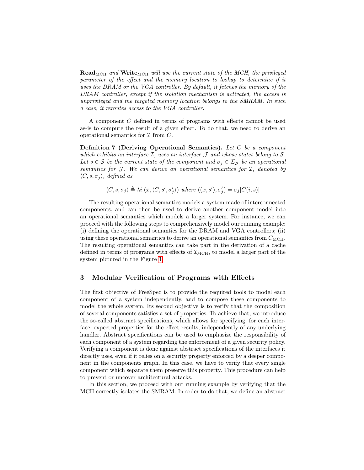**Read**<sub>MCH</sub> and **Write**<sub>MCH</sub> will use the current state of the MCH, the privileged parameter of the effect and the memory location to lookup to determine if it uses the DRAM or the VGA controller. By default, it fetches the memory of the DRAM controller, except if the isolation mechanism is activated, the access is unprivileged and the targeted memory location belongs to the SMRAM. In such a case, it reroutes access to the VGA controller.

A component C defined in terms of programs with effects cannot be used as-is to compute the result of a given effect. To do that, we need to derive an operational semantics for  $\mathcal I$  from  $C$ .

Definition 7 (Deriving Operational Semantics). Let C be a component which exhibits an interface  $\mathcal I$ , uses an interface  $\mathcal J$  and whose states belong to  $\mathcal S$ . Let  $s \in \mathcal{S}$  be the current state of the component and  $\sigma_j \in \Sigma_{\mathcal{J}}$  be an operational semantics for  $J$ . We can derive an operational semantics for  $I$ , denoted by  $\langle C, s, \sigma_i \rangle$ , defined as

 $\langle C, s, \sigma_j \rangle \triangleq \lambda i. (x, \langle C, s', \sigma'_j \rangle)$  where  $((x, s'), \sigma'_j) = \sigma_j [C(i, s)]$ 

The resulting operational semantics models a system made of interconnected components, and can then be used to derive another component model into an operational semantics which models a larger system. For instance, we can proceed with the following steps to comprehensively model our running example: (i) defining the operational semantics for the DRAM and VGA controllers; (ii) using these operational semantics to derive an operational semantics from  $C_{\text{MCH}}$ . The resulting operational semantics can take part in the derivation of a cache defined in terms of programs with effects of  $\mathcal{I}_{MCH}$ , to model a larger part of the system pictured in the Figure 1.

## 3 Modular Verification of Programs with Effects

The first objective of FreeSpec is to provide the required tools to model each component of a system independently, and to compose these components to model the whole system. Its second objective is to verify that the composition of several components satisfies a set of properties. To achieve that, we introduce the so-called abstract specifications, which allows for specifying, for each interface, expected properties for the effect results, independently of any underlying handler. Abstract specifications can be used to emphasize the responsibility of each component of a system regarding the enforcement of a given security policy. Verifying a component is done against abstract specifications of the interfaces it directly uses, even if it relies on a security property enforced by a deeper component in the components graph. In this case, we have to verify that every single component which separate them preserve this property. This procedure can help to prevent or uncover architectural attacks.

In this section, we proceed with our running example by verifying that the MCH correctly isolates the SMRAM. In order to do that, we define an abstract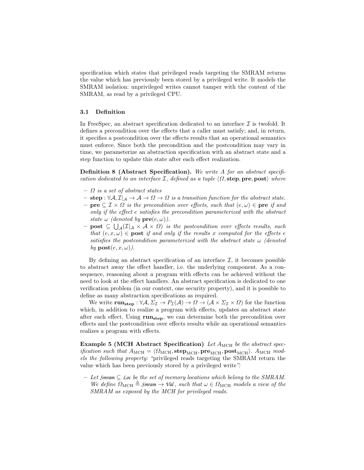specification which states that privileged reads targeting the SMRAM returns the value which has previously been stored by a privileged write. It models the SMRAM isolation: unprivileged writes cannot tamper with the content of the SMRAM, as read by a privileged CPU.

### 3.1 Definition

In FreeSpec, an abstract specification dedicated to an interface  $\mathcal I$  is twofold. It defines a precondition over the effects that a caller must satisfy; and, in return, it specifies a postcondition over the effects results that an operational semantics must enforce. Since both the precondition and the postcondition may vary in time, we parameterize an abstraction specification with an abstract state and a step function to update this state after each effect realization.

Definition 8 (Abstract Specification). We write A for an abstract specification dedicated to an interface I, defined as a tuple  $\langle \Omega, \text{step}, \text{pre}, \text{post} \rangle$  where

- $\Omega$  is a set of abstract states
- $-$  step :  $\forall A, \mathcal{I}|_A \rightarrow A \rightarrow \Omega \rightarrow \Omega$  is a transition function for the abstract state.
- $-$  pre  $\subseteq \mathcal{I} \times \Omega$  is the precondition over effects, such that  $(e, \omega) \in \mathbf{pre}$  if and only if the effect e satisfies the precondition parameterized with the abstract state  $\omega$  (denoted by  $\mathbf{pre}(e, \omega)$ ).
- ${\tt post} \subseteq \bigcup_{\mathcal{A}}({\mathcal{I}}|_{\mathcal{A}} \times {\mathcal{A}} \times \Omega)$  is the postcondition over effects results, such that  $(e, x, \omega) \in \textbf{post}$  if and only if the results x computed for the effects e satisfies the postcondition parameterized with the abstract state  $\omega$  (denoted by  $\mathbf{post}(e, x, \omega)$ ).

By defining an abstract specification of an interface  $\mathcal{I}$ , it becomes possible to abstract away the effect handler, i.e. the underlying component. As a consequence, reasoning about a program with effects can be achieved without the need to look at the effect handlers. An abstract specification is dedicated to one verification problem (in our context, one security property), and it is possible to define as many abstraction specifications as required.

We write  $\text{run}_{\text{step}} : \forall A, \Sigma_{\mathcal{I}} \to P_{\mathcal{I}}(A) \to \Omega \to (\mathcal{A} \times \Sigma_{\mathcal{I}} \times \Omega)$  for the function which, in addition to realize a program with effects, updates an abstract state after each effect. Using  $run_{step}$ , we can determine both the precondition over effects and the postcondition over effects results while an operational semantics realizes a program with effects.

Example 5 (MCH Abstract Specification) Let  $A_{\text{MCH}}$  be the abstract spec*ification such that*  $A_{MCH} = \langle \Omega_{MCH}, \mathbf{step}_{MCH}, \mathbf{pre}_{MCH}, \mathbf{post}_{MCH} \rangle$ .  $A_{MCH} \mod \{-1\}$ els the following property: "privileged reads targeting the SMRAM return the value which has been previously stored by a privileged write":

– Let *Smram* ⊆ *Loc* be the set of memory locations which belong to the SMRAM. We define  $\Omega_{\text{MCH}} \triangleq$  *Smram*  $\rightarrow$  *Val*, such that  $\omega \in \Omega_{\text{MCH}}$  models a view of the SMRAM as exposed by the MCH for privileged reads.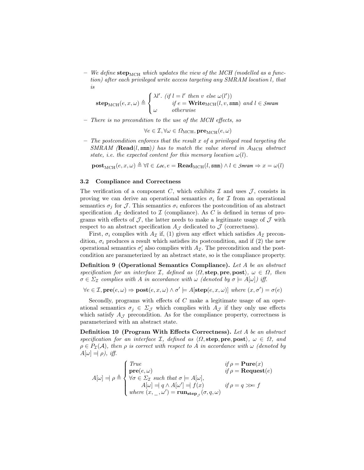– We define step<sub>MCH</sub> which updates the view of the MCH (modelled as a function) after each privileged write access targeting any SMRAM location l, that is

$$
\mathbf{step}_{\mathrm{MCH}}(e, x, \omega) \triangleq \begin{cases} \lambda l'. & (if \, l = l' \, then \, v \, \text{else} \, \omega(l')) \\ & \text{if} \, e = \mathbf{Write}_{\mathrm{MCH}}(l, v, \texttt{smm}) \, \text{and} \, l \in \textit{Smram} \\ \omega & \text{otherwise} \end{cases}
$$

– There is no precondition to the use of the MCH effects, so

 $\forall e \in \mathcal{I}, \forall \omega \in \Omega_{\text{MCH}}, \textbf{pre}_{\text{MCH}}(e, \omega)$ 

 $-$  The postcondition enforces that the result x of a privileged read targeting the SMRAM (Read(l, smm)) has to match the value stored in  $A_{\text{MCH}}$  abstract state, i.e. the expected content for this memory location  $\omega(l)$ .

 $\textbf{post}_{\text{MCH}}(e, x, \omega) \triangleq \forall l \in \text{Loc}, e = \textbf{Read}_{\text{MCH}}(l, \texttt{smm}) \land l \in \textit{Smram} \Rightarrow x = \omega(l)$ 

#### 3.2 Compliance and Correctness

The verification of a component C, which exhibits  $\mathcal I$  and uses  $\mathcal J$ , consists in proving we can derive an operational semantics  $\sigma_i$  for  $\mathcal I$  from an operational semantics  $\sigma_j$  for J. This semantics  $\sigma_i$  enforces the postcondition of an abstract specification  $A_{\mathcal{I}}$  dedicated to  $\mathcal{I}$  (compliance). As C is defined in terms of programs with effects of  $\mathcal{J}$ , the latter needs to make a legitimate usage of  $\mathcal{J}$  with respect to an abstract specification  $A_{\mathcal{J}}$  dedicated to  $\mathcal{J}$  (correctness).

First,  $\sigma_i$  complies with  $A_{\mathcal{I}}$  if, (1) given any effect which satisfies  $A_{\mathcal{I}}$  precondition,  $\sigma_i$  produces a result which satisfies its postcondition, and if (2) the new operational semantics  $\sigma'_{i}$  also complies with  $A_{\mathcal{I}}$ . The precondition and the postcondition are parameterized by an abstract state, so is the compliance property.

Definition 9 (Operational Semantics Compliance). Let A be an abstract specification for an interface I, defined as  $\langle \Omega, \text{step}, \text{pre}, \text{post} \rangle$ ,  $\omega \in \Omega$ , then  $\sigma \in \Sigma_{\mathcal{I}}$  complies with A in accordance with  $\omega$  (denoted by  $\sigma \models A[\omega]$ ) iff.

 $\forall e \in \mathcal{I}, \mathbf{pre}(e, \omega) \Rightarrow \mathbf{post}(e, x, \omega) \wedge \sigma' \models A[\mathbf{step}(e, x, \omega)]$  where  $(x, \sigma') = \sigma(e)$ 

Secondly, programs with effects of C make a legitimate usage of an operational semantics  $\sigma_j \in \Sigma_{\mathcal{J}}$  which complies with  $A_{\mathcal{J}}$  if they only use effects which satisfy  $A_{\mathcal{J}}$  precondition. As for the compliance property, correctness is parameterized with an abstract state.

Definition 10 (Program With Effects Correctness). Let A be an abstract specification for an interface I, defined as  $\langle \Omega, \text{step}, \text{pre}, \text{post} \rangle$ ,  $\omega \in \Omega$ , and  $\rho \in P_{\mathcal{I}}(\mathcal{A})$ , then  $\rho$  is correct with respect to A in accordance with  $\omega$  (denoted by  $A[\omega] \stackrel{d}{\rightarrow} \rho$ ), iff.

$$
A[\omega] = \rho \triangleq \begin{cases} \text{True} & \text{if } \rho = \textbf{Pure}(x) \\ \textbf{pre}(e, \omega) & \text{if } \rho = \textbf{Request}(e) \\ \forall \sigma \in \Sigma_{\mathcal{I}} \text{ such that } \sigma \models A[\omega], \\ A[\omega] = q \land A[\omega'] = f(x) & \text{if } \rho = q \ggg f \\ \text{where } (x, \_, \omega') = \textbf{run}_{\textbf{step}_{\mathcal{J}}}(\sigma, q, \omega) \end{cases}
$$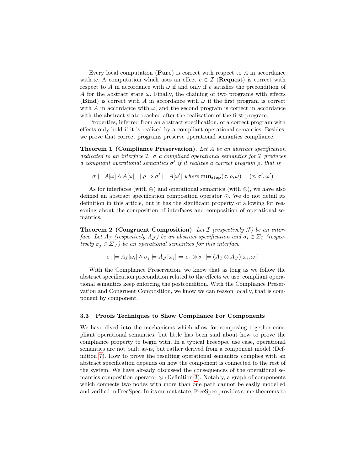Every local computation (Pure) is correct with respect to  $A$  in accordance with  $\omega$ . A computation which uses an effect  $e \in \mathcal{I}$  (**Request**) is correct with respect to A in accordance with  $\omega$  if and only if e satisfies the precondition of A for the abstract state  $\omega$ . Finally, the chaining of two programs with effects (Bind) is correct with A in accordance with  $\omega$  if the first program is correct with A in accordance with  $\omega$ , and the second program is correct in accordance with the abstract state reached after the realization of the first program.

Properties, inferred from an abstract specification, of a correct program with effects only hold if it is realized by a compliant operational semantics. Besides, we prove that correct programs preserve operational semantics compliance.

Theorem 1 (Compliance Preservation). Let A be an abstract specification dedicated to an interface  $I. \sigma$  a compliant operational semantics for  $I$  produces a compliant operational semantics  $\sigma'$  if it realizes a correct program  $\rho$ , that is

$$
\sigma \models A[\omega] \land A[\omega] \models \rho \Rightarrow \sigma' \models A[\omega'] \text{ where } \mathbf{run_{step}}(\sigma, \rho, \omega) = (x, \sigma', \omega')
$$

As for interfaces (with  $\oplus$ ) and operational semantics (with  $\otimes$ ), we have also defined an abstract specification composition operator  $\odot$ . We do not detail its definition in this article, but it has the significant property of allowing for reasoning about the composition of interfaces and composition of operational semantics.

**Theorem 2 (Congruent Composition).** Let  $\mathcal I$  (respectively  $\mathcal J$ ) be an interface. Let  $A_{\mathcal{I}}$  (respectively  $A_{\mathcal{J}}$ ) be an abstract specification and  $\sigma_i \in \Sigma_{\mathcal{I}}$  (respectively  $\sigma_i \in \Sigma_{\mathcal{J}}$ ) be an operational semantics for this interface.

$$
\sigma_i \models A_{\mathcal{I}}[\omega_i] \land \sigma_j \models A_{\mathcal{J}}[\omega_j] \Rightarrow \sigma_i \otimes \sigma_j \models (A_{\mathcal{I}} \odot A_{\mathcal{J}})[\omega_i, \omega_j]
$$

With the Compliance Preservation, we know that as long as we follow the abstract specification precondition related to the effects we use, compliant operational semantics keep enforcing the postcondition. With the Compliance Preservation and Congruent Composition, we know we can reason locally, that is component by component.

### 3.3 Proofs Techniques to Show Compliance For Components

We have dived into the mechanisms which allow for composing together compliant operational semantics, but little has been said about how to prove the compliance property to begin with. In a typical FreeSpec use case, operational semantics are not built as-is, but rather derived from a component model (Definition 7). How to prove the resulting operational semantics complies with an abstract specification depends on how the component is connected to the rest of the system. We have already discussed the consequences of the operational semantics composition operator ⊗ (Definition 3). Notably, a graph of components which connects two nodes with more than one path cannot be easily modelled and verified in FreeSpec. In its current state, FreeSpec provides some theorems to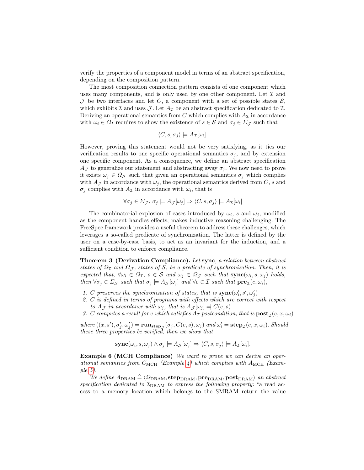verify the properties of a component model in terms of an abstract specification, depending on the composition pattern.

The most composition connection pattern consists of one component which uses many components, and is only used by one other component. Let  $\mathcal I$  and  $J$  be two interfaces and let C, a component with a set of possible states  $S$ , which exhibits  $\mathcal I$  and uses  $\mathcal J$ . Let  $A_{\mathcal I}$  be an abstract specification dedicated to  $\mathcal I$ . Deriving an operational semantics from C which complies with  $A_{\mathcal{I}}$  in accordance with  $\omega_i \in \Omega_I$  requires to show the existence of  $s \in \mathcal{S}$  and  $\sigma_j \in \Sigma_{\mathcal{J}}$  such that

$$
\langle C, s, \sigma_j \rangle \models A_{\mathcal{I}}[\omega_i].
$$

However, proving this statement would not be very satisfying, as it ties our verification results to one specific operational semantics  $\sigma_i$ , and by extension one specific component. As a consequence, we define an abstract specification  $A_{\mathcal{J}}$  to generalize our statement and abstracting away  $\sigma_i$ . We now need to prove it exists  $\omega_j \in \Omega_{\mathcal{J}}$  such that given an operational semantics  $\sigma_j$  which complies with  $A_{\mathcal{J}}$  in accordance with  $\omega_j$ , the operational semantics derived from C, s and  $\sigma_j$  complies with  $A_{\mathcal{I}}$  in accordance with  $\omega_i$ , that is

$$
\forall \sigma_j \in \Sigma_{\mathcal{J}}, \, \sigma_j \models A_{\mathcal{J}}[\omega_j] \Rightarrow \langle C, s, \sigma_j \rangle \models A_{\mathcal{I}}[\omega_i]
$$

The combinatorial explosion of cases introduced by  $\omega_i$ , s and  $\omega_j$ , modified as the component handles effects, makes inductive reasoning challenging. The FreeSpec framework provides a useful theorem to address these challenges, which leverages a so-called predicate of synchronization. The latter is defined by the user on a case-by-case basis, to act as an invariant for the induction, and a sufficient condition to enforce compliance.

Theorem 3 (Derivation Compliance). Let sync, a relation between abstract states of  $\Omega_{\mathcal{I}}$  and  $\Omega_{\mathcal{I}}$ , states of S, be a predicate of synchronization. Then, it is expected that,  $\forall \omega_i \in \Omega_{\mathcal{I}}, s \in \mathcal{S}$  and  $\omega_j \in \Omega_{\mathcal{J}}$  such that  $\text{sync}(\omega_i, s, \omega_j)$  holds, then  $\forall \sigma_j \in \Sigma_{\mathcal{J}}$  such that  $\sigma_j \models A_{\mathcal{J}}[\omega_j]$  and  $\forall e \in \mathcal{I}$  such that  $\textbf{pre}_{\mathcal{I}}(e, \omega_i)$ ,

- 1. C preserves the synchronization of states, that is  $\textbf{sync}(\omega_i', s', \omega_j')$
- 2. C is defined in terms of programs with effects which are correct with respect to  $A_{\mathcal{J}}$  in accordance with  $\omega_i$ , that is  $A_{\mathcal{J}}[\omega_i] \stackrel{d}{=} C(e, s)$
- 3. C computes a result for e which satisfies  $A_{\mathcal{I}}$  postcondition, that is  $\textbf{post}_{\mathcal{I}}(e, x, \omega_i)$

where  $((x, s'), \sigma'_j, \omega'_j) = \operatorname{run}_{\textbf{step}_{\mathcal{J}}}(\sigma_j, C(e, s), \omega_j)$  and  $\omega'_i = \operatorname{step}_{\mathcal{I}}(e, x, \omega_i)$ . Should these three properties be verified, then we show that

$$
\mathbf{sync}(\omega_i, s, \omega_j) \wedge \sigma_j \models A_{\mathcal{J}}[\omega_j] \Rightarrow \langle C, s, \sigma_j \rangle \models A_{\mathcal{I}}[\omega_i].
$$

Example 6 (MCH Compliance) We want to prove we can derive an operational semantics from  $C_{\text{MCH}}$  (Example 4) which complies with  $A_{\text{MCH}}$  (Example 5).

We define  $A_{\text{DRAM}} \triangleq \langle \Omega_{\text{DRAM}}$ , step $_{\text{DRAM}}$ , pre $_{\text{DRAM}}$ , post<sub>DRAM</sub> $\rangle$  an abstract specification dedicated to  $\mathcal{I}_{\text{DRAM}}$  to express the following property: "a read access to a memory location which belongs to the SMRAM return the value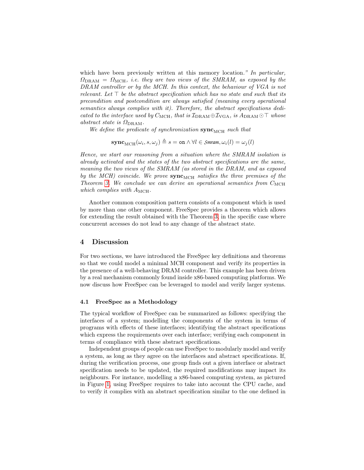which have been previously written at this memory location." In particular,  $\Omega_{\text{DRAM}} = \Omega_{\text{MCH}}$ , i.e. they are two views of the SMRAM, as exposed by the DRAM controller or by the MCH. In this context, the behaviour of VGA is not relevant. Let  $\top$  be the abstract specification which has no state and such that its precondition and postcondition are always satisfied (meaning every operational semantics always complies with it). Therefore, the abstract specifications dedicated to the interface used by  $C_{\text{MCH}}$ , that is  $\mathcal{I}_{\text{DRAM}} \oplus \mathcal{I}_{\text{VGA}}$ , is  $A_{\text{DRAM}} \odot \top$  whose abstract state is  $\Omega_{\text{DRAM}}$ .

We define the predicate of synchronization  $\mathbf{sync}_{MCH}$  such that

 $\textbf{sync}_{\text{MCH}}(\omega_i, s, \omega_j) \triangleq s = \texttt{on} \land \forall l \in \textit{Smram}, \omega_i(l) = \omega_j(l)$ 

Hence, we start our reasoning from a situation where the SMRAM isolation is already activated and the states of the two abstract specifications are the same, meaning the two views of the SMRAM (as stored in the DRAM, and as exposed by the MCH) coincide. We prove  $\textbf{sync}_{MCH}$  satisfies the three premises of the Theorem 3. We conclude we can derive an operational semantics from  $C_{\text{MCH}}$ which complies with  $A_{\text{MCH}}$ .

Another common composition pattern consists of a component which is used by more than one other component. FreeSpec provides a theorem which allows for extending the result obtained with the Theorem 3, in the specific case where concurrent accesses do not lead to any change of the abstract state.

## 4 Discussion

For two sections, we have introduced the FreeSpec key definitions and theorems so that we could model a minimal MCH component and verify its properties in the presence of a well-behaving DRAM controller. This example has been driven by a real mechanism commonly found inside x86-based computing platforms. We now discuss how FreeSpec can be leveraged to model and verify larger systems.

#### 4.1 FreeSpec as a Methodology

The typical workflow of FreeSpec can be summarized as follows: specifying the interfaces of a system; modelling the components of the system in terms of programs with effects of these interfaces; identifying the abstract specifications which express the requirements over each interface; verifying each component in terms of compliance with these abstract specifications.

Independent groups of people can use FreeSpec to modularly model and verify a system, as long as they agree on the interfaces and abstract specifications. If, during the verification process, one group finds out a given interface or abstract specification needs to be updated, the required modifications may impact its neighbours. For instance, modelling a x86-based computing system, as pictured in Figure 1, using FreeSpec requires to take into account the CPU cache, and to verify it complies with an abstract specification similar to the one defined in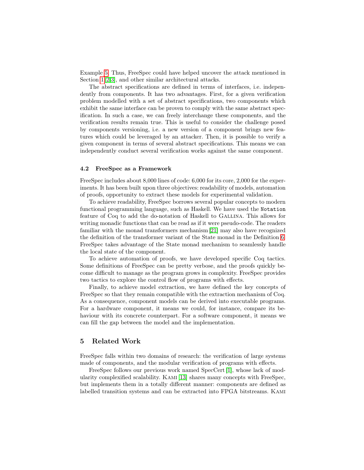Example 5. Thus, FreeSpec could have helped uncover the attack mentioned in Section 1 [2,3], and other similar architectural attacks.

The abstract specifications are defined in terms of interfaces, i.e. independently from components. It has two advantages. First, for a given verification problem modelled with a set of abstract specifications, two components which exhibit the same interface can be proven to comply with the same abstract specification. In such a case, we can freely interchange these components, and the verification results remain true. This is useful to consider the challenge posed by components versioning, i.e. a new version of a component brings new features which could be leveraged by an attacker. Then, it is possible to verify a given component in terms of several abstract specifications. This means we can independently conduct several verification works against the same component.

#### 4.2 FreeSpec as a Framework

FreeSpec includes about 8,000 lines of code: 6,000 for its core, 2,000 for the experiments. It has been built upon three objectives: readability of models, automation of proofs, opportunity to extract these models for experimental validation.

To achieve readability, FreeSpec borrows several popular concepts to modern functional programming language, such as Haskell. We have used the Notation feature of Coq to add the do-notation of Haskell to Gallina. This allows for writing monadic functions that can be read as if it were pseudo-code. The readers familiar with the monad transformers mechanism [21] may also have recognized the definition of the transformer variant of the State monad in the Definition 6. FreeSpec takes advantage of the State monad mechanism to seamlessly handle the local state of the component.

To achieve automation of proofs, we have developed specific Coq tactics. Some definitions of FreeSpec can be pretty verbose, and the proofs quickly become difficult to manage as the program grows in complexity. FreeSpec provides two tactics to explore the control flow of programs with effects.

Finally, to achieve model extraction, we have defined the key concepts of FreeSpec so that they remain compatible with the extraction mechanism of Coq. As a consequence, component models can be derived into executable programs. For a hardware component, it means we could, for instance, compare its behaviour with its concrete counterpart. For a software component, it means we can fill the gap between the model and the implementation.

## 5 Related Work

FreeSpec falls within two domains of research: the verification of large systems made of components, and the modular verification of programs with effects.

FreeSpec follows our previous work named SpecCert [1], whose lack of modularity complexified scalability. Kami [13] shares many concepts with FreeSpec, but implements them in a totally different manner: components are defined as labelled transition systems and can be extracted into FPGA bitstreams. Kami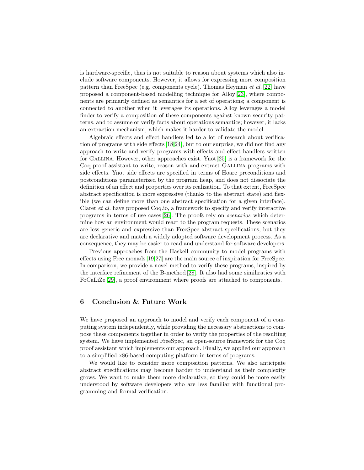is hardware-specific, thus is not suitable to reason about systems which also include software components. However, it allows for expressing more composition pattern than FreeSpec (e.g. components cycle). Thomas Heyman et al. [22] have proposed a component-based modelling technique for Alloy [23], where components are primarily defined as semantics for a set of operations; a component is connected to another when it leverages its operations. Alloy leverages a model finder to verify a composition of these components against known security patterns, and to assume or verify facts about operations semantics; however, it lacks an extraction mechanism, which makes it harder to validate the model.

Algebraic effects and effect handlers led to a lot of research about verification of programs with side effects [18,24], but to our surprise, we did not find any approach to write and verify programs with effects and effect handlers written for Gallina. However, other approaches exist. Ynot [25] is a framework for the Coq proof assistant to write, reason with and extract Gallina programs with side effects. Ynot side effects are specified in terms of Hoare preconditions and postconditions parameterized by the program heap, and does not dissociate the definition of an effect and properties over its realization. To that extent, FreeSpec abstract specification is more expressive (thanks to the abstract state) and flexible (we can define more than one abstract specification for a given interface). Claret et al. have proposed Coq.io, a framework to specify and verify interactive programs in terms of use cases [26]. The proofs rely on scenarios which determine how an environment would react to the program requests. These scenarios are less generic and expressive than FreeSpec abstract specifications, but they are declarative and match a widely adopted software development process. As a consequence, they may be easier to read and understand for software developers.

Previous approaches from the Haskell community to model programs with effects using Free monads [19,27] are the main source of inspiration for FreeSpec. In comparison, we provide a novel method to verify these programs, inspired by the interface refinement of the B-method [28]. It also had some similiraties with FoCaLiZe [29], a proof environment where proofs are attached to components.

## 6 Conclusion & Future Work

We have proposed an approach to model and verify each component of a computing system independently, while providing the necessary abstractions to compose these components together in order to verify the properties of the resulting system. We have implemented FreeSpec, an open-source framework for the Coq proof assistant which implements our approach. Finally, we applied our approach to a simplified x86-based computing platform in terms of programs.

We would like to consider more composition patterns. We also anticipate abstract specifications may become harder to understand as their complexity grows. We want to make them more declarative, so they could be more easily understood by software developers who are less familiar with functional programming and formal verification.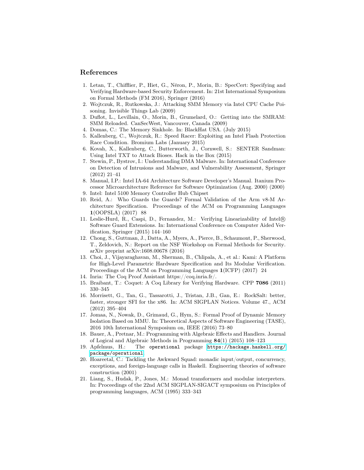## References

- 1. Letan, T., Chifflier, P., Hiet, G., Néron, P., Morin, B.: SpecCert: Specifying and Verifying Hardware-based Security Enforcement. In: 21st International Symposium on Formal Methods (FM 2016), Springer (2016)
- 2. Wojtczuk, R., Rutkowska, J.: Attacking SMM Memory via Intel CPU Cache Poisoning. Invisible Things Lab (2009)
- 3. Duflot, L., Levillain, O., Morin, B., Grumelard, O.: Getting into the SMRAM: SMM Reloaded. CanSecWest, Vancouver, Canada (2009)
- 4. Domas, C.: The Memory Sinkhole. In: BlackHat USA. (July 2015)
- 5. Kallenberg, C., Wojtczuk, R.: Speed Racer: Exploiting an Intel Flash Protection Race Condition. Bromium Labs (January 2015)
- 6. Kovah, X., Kallenberg, C., Butterworth, J., Cornwell, S.: SENTER Sandman: Using Intel TXT to Attack Bioses. Hack in the Box (2015)
- 7. Stewin, P., Bystrov, I.: Understanding DMA Malware. In: International Conference on Detection of Intrusions and Malware, and Vulnerability Assessment, Springer (2012) 21–41
- 8. Manual, I.P.: Intel IA-64 Architecture Software Developer's Manual. Itanium Processor Microarchitecture Reference for Software Optimization (Aug. 2000) (2000) 9. Intel: Intel 5100 Memory Controller Hub Chipset
- 10. Reid, A.: Who Guards the Guards? Formal Validation of the Arm v8-M Ar-
- chitecture Specification. Proceedings of the ACM on Programming Languages 1(OOPSLA) (2017) 88
- 11. Leslie-Hurd, R., Caspi, D., Fernandez, M.: Verifying Linearizability of Intel <sup>R</sup> Software Guard Extensions. In: International Conference on Computer Aided Verification, Springer (2015) 144–160
- 12. Chong, S., Guttman, J., Datta, A., Myers, A., Pierce, B., Schaumont, P., Sherwood, T., Zeldovich, N.: Report on the NSF Workshop on Formal Methods for Security. arXiv preprint arXiv:1608.00678 (2016)
- 13. Choi, J., Vijayaraghavan, M., Sherman, B., Chlipala, A., et al.: Kami: A Platform for High-Level Parametric Hardware Specification and Its Modular Verification. Proceedings of the ACM on Programming Languages 1(ICFP) (2017) 24
- 14. Inria: The Coq Proof Assistant https://coq.inria.fr/.
- 15. Braibant, T.: Coquet: A Coq Library for Verifying Hardware. CPP 7086 (2011) 330–345
- 16. Morrisett, G., Tan, G., Tassarotti, J., Tristan, J.B., Gan, E.: RockSalt: better, faster, stronger SFI for the x86. In: ACM SIGPLAN Notices. Volume 47., ACM (2012) 395–404
- 17. Jomaa, N., Nowak, D., Grimaud, G., Hym, S.: Formal Proof of Dynamic Memory Isolation Based on MMU. In: Theoretical Aspects of Software Engineering (TASE), 2016 10th International Symposium on, IEEE (2016) 73–80
- 18. Bauer, A., Pretnar, M.: Programming with Algebraic Effects and Handlers. Journal of Logical and Algebraic Methods in Programming 84(1) (2015) 108–123
- 19. Apfelmus, H.: The operational package [https://hackage.haskell.org/](https://hackage.haskell.org/package/operational) [package/operational](https://hackage.haskell.org/package/operational).
- 20. Hoareetal, C.: Tackling the Awkward Squad: monadic input/output, concurrency, exceptions, and foreign-language calls in Haskell. Engineering theories of software construction (2001)
- 21. Liang, S., Hudak, P., Jones, M.: Monad transformers and modular interpreters. In: Proceedings of the 22nd ACM SIGPLAN-SIGACT symposium on Principles of programming languages, ACM (1995) 333–343